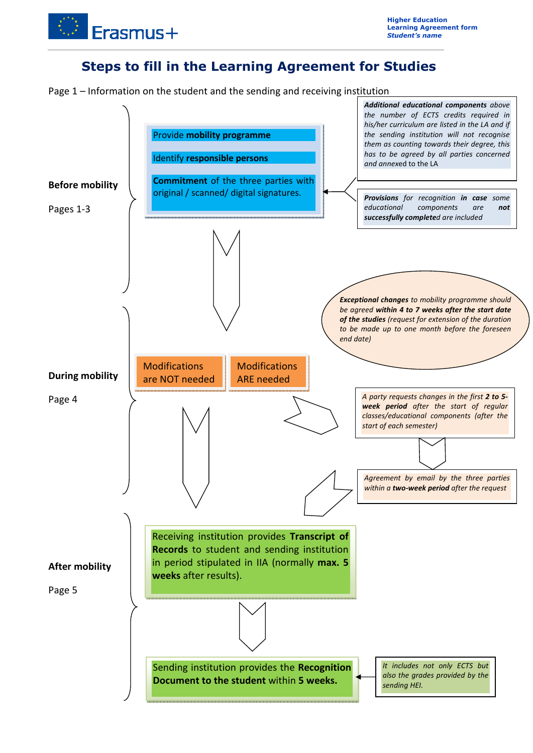

## **Steps to fill in the Learning Agreement for Studies**

Page 1 – Information on the student and the sending and receiving institution